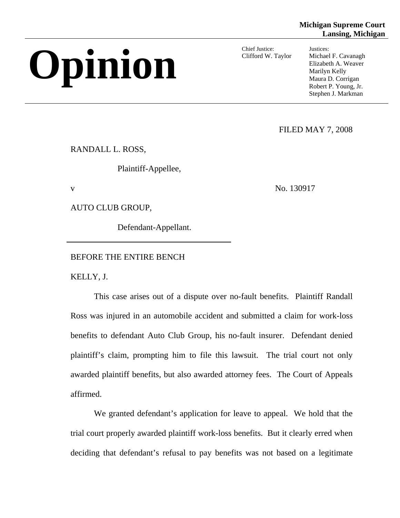# Chief Justice:<br>Clifford W. Taylor Michael F. Cavanagh<br>Marilyn Kelly<br>Maura D. Corrigan

Chief Justice: Justices:

Clifford W. Taylor Michael F. Cavanagh Maura D. Corrigan Robert P. Young, Jr. Stephen J. Markman

FILED MAY 7, 2008

RANDALL L. ROSS,

Plaintiff-Appellee,

v No. 130917

AUTO CLUB GROUP,

Defendant-Appellant.

BEFORE THE ENTIRE BENCH

KELLY, J.

This case arises out of a dispute over no-fault benefits. Plaintiff Randall Ross was injured in an automobile accident and submitted a claim for work-loss benefits to defendant Auto Club Group, his no-fault insurer. Defendant denied plaintiff's claim, prompting him to file this lawsuit. The trial court not only awarded plaintiff benefits, but also awarded attorney fees. The Court of Appeals affirmed.

We granted defendant's application for leave to appeal. We hold that the trial court properly awarded plaintiff work-loss benefits. But it clearly erred when deciding that defendant's refusal to pay benefits was not based on a legitimate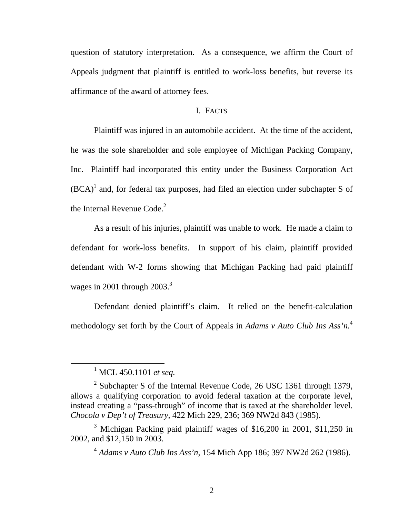question of statutory interpretation. As a consequence, we affirm the Court of Appeals judgment that plaintiff is entitled to work-loss benefits, but reverse its affirmance of the award of attorney fees.

# I. FACTS

the Internal Revenue Code. $2$ Plaintiff was injured in an automobile accident. At the time of the accident, he was the sole shareholder and sole employee of Michigan Packing Company, Inc. Plaintiff had incorporated this entity under the Business Corporation Act  $(BCA)^1$  and, for federal tax purposes, had filed an election under subchapter S of

As a result of his injuries, plaintiff was unable to work. He made a claim to defendant for work-loss benefits. In support of his claim, plaintiff provided defendant with W-2 forms showing that Michigan Packing had paid plaintiff wages in 2001 through  $2003.<sup>3</sup>$ 

methodology set forth by the Court of Appeals in *Adams v Auto Club Ins Ass'n*.<sup>4</sup> Defendant denied plaintiff's claim. It relied on the benefit-calculation

<sup>1</sup> MCL 450.1101 *et seq.* 

<sup>&</sup>lt;sup>2</sup> Subchapter S of the Internal Revenue Code, 26 USC 1361 through 1379, allows a qualifying corporation to avoid federal taxation at the corporate level, instead creating a "pass-through" of income that is taxed at the shareholder level. *Chocola v Dep't of Treasury*, 422 Mich 229, 236; 369 NW2d 843 (1985).

<sup>&</sup>lt;sup>3</sup> Michigan Packing paid plaintiff wages of \$16,200 in 2001, \$11,250 in 2002, and \$12,150 in 2003.

<sup>4</sup>*Adams v Auto Club Ins Ass'n,* 154 Mich App 186; 397 NW2d 262 (1986).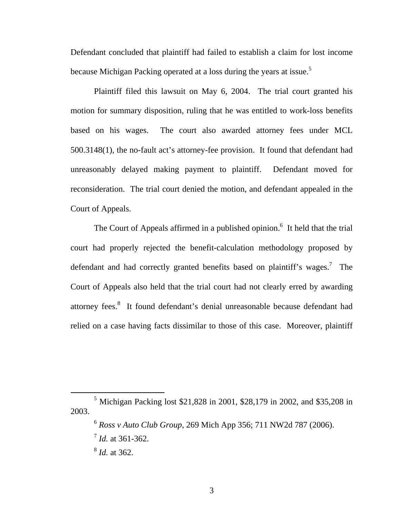because Michigan Packing operated at a loss during the years at issue.<sup>5</sup> Defendant concluded that plaintiff had failed to establish a claim for lost income

Plaintiff filed this lawsuit on May 6, 2004. The trial court granted his motion for summary disposition, ruling that he was entitled to work-loss benefits based on his wages. The court also awarded attorney fees under MCL 500.3148(1), the no-fault act's attorney-fee provision. It found that defendant had unreasonably delayed making payment to plaintiff. Defendant moved for reconsideration. The trial court denied the motion, and defendant appealed in the Court of Appeals.

The Court of Appeals affirmed in a published opinion.<sup>6</sup> It held that the trial court had properly rejected the benefit-calculation methodology proposed by defendant and had correctly granted benefits based on plaintiff's wages.<sup>7</sup> The Court of Appeals also held that the trial court had not clearly erred by awarding attorney fees.<sup>8</sup> It found defendant's denial unreasonable because defendant had relied on a case having facts dissimilar to those of this case. Moreover, plaintiff

<sup>&</sup>lt;sup>5</sup> Michigan Packing lost \$21,828 in 2001, \$28,179 in 2002, and \$35,208 in 2003.

<sup>6</sup>*Ross v Auto Club Group*, 269 Mich App 356; 711 NW2d 787 (2006).

<sup>7</sup>*Id.* at 361-362.

<sup>8</sup>*Id.* at 362.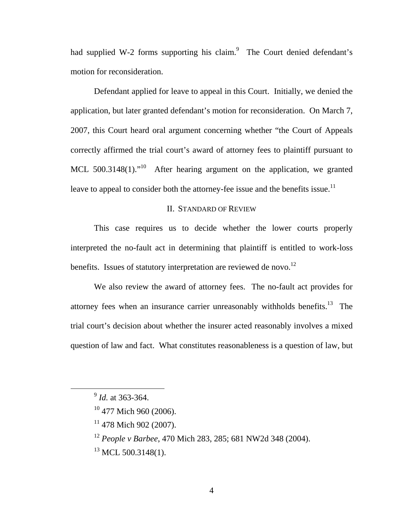had supplied W-2 forms supporting his claim. $9$  The Court denied defendant's motion for reconsideration.

leave to appeal to consider both the attorney-fee issue and the benefits issue.<sup>11</sup> Defendant applied for leave to appeal in this Court. Initially, we denied the application, but later granted defendant's motion for reconsideration. On March 7, 2007, this Court heard oral argument concerning whether "the Court of Appeals correctly affirmed the trial court's award of attorney fees to plaintiff pursuant to MCL  $500.3148(1)$ .<sup>"10</sup> After hearing argument on the application, we granted

## II. STANDARD OF REVIEW

benefits. Issues of statutory interpretation are reviewed de novo.<sup>12</sup> This case requires us to decide whether the lower courts properly interpreted the no-fault act in determining that plaintiff is entitled to work-loss

We also review the award of attorney fees. The no-fault act provides for attorney fees when an insurance carrier unreasonably withholds benefits.<sup>13</sup> The trial court's decision about whether the insurer acted reasonably involves a mixed question of law and fact. What constitutes reasonableness is a question of law, but

- <sup>12</sup> People v Barbee, 470 Mich 283, 285; 681 NW2d 348 (2004).
- $^{13}$  MCL 500.3148(1).

<sup>9</sup>*Id.* at 363-364.

<sup>&</sup>lt;sup>10</sup> 477 Mich 960 (2006).

 $11$  478 Mich 902 (2007).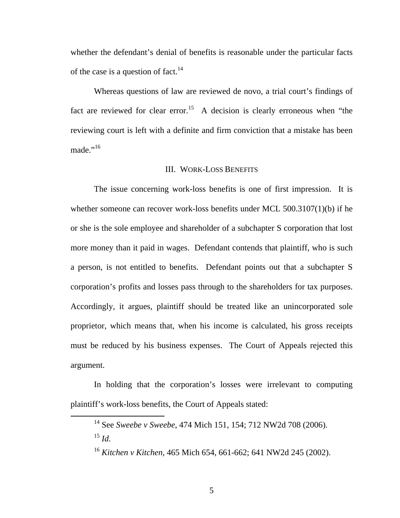of the case is a question of fact.<sup>14</sup> whether the defendant's denial of benefits is reasonable under the particular facts

Whereas questions of law are reviewed de novo, a trial court's findings of fact are reviewed for clear error.<sup>15</sup> A decision is clearly erroneous when "the reviewing court is left with a definite and firm conviction that a mistake has been made."<sup>16</sup>

#### III. WORK-LOSS BENEFITS

The issue concerning work-loss benefits is one of first impression. It is whether someone can recover work-loss benefits under MCL 500.3107(1)(b) if he or she is the sole employee and shareholder of a subchapter S corporation that lost more money than it paid in wages. Defendant contends that plaintiff, who is such a person, is not entitled to benefits. Defendant points out that a subchapter S corporation's profits and losses pass through to the shareholders for tax purposes. Accordingly, it argues, plaintiff should be treated like an unincorporated sole proprietor, which means that, when his income is calculated, his gross receipts must be reduced by his business expenses. The Court of Appeals rejected this argument.

In holding that the corporation's losses were irrelevant to computing plaintiff's work-loss benefits, the Court of Appeals stated:

<sup>14</sup> See *Sweebe v Sweebe*, 474 Mich 151, 154; 712 NW2d 708 (2006).

 <sup>15</sup>*Id.* 

 <sup>16</sup>*Kitchen v Kitchen*, 465 Mich 654, 661-662; 641 NW2d 245 (2002). 5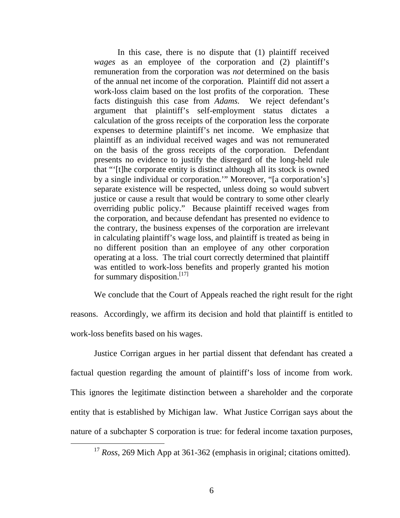In this case, there is no dispute that (1) plaintiff received *wages* as an employee of the corporation and (2) plaintiff's remuneration from the corporation was *not* determined on the basis of the annual net income of the corporation. Plaintiff did not assert a work-loss claim based on the lost profits of the corporation. These facts distinguish this case from *Adams.* We reject defendant's argument that plaintiff's self-employment status dictates a calculation of the gross receipts of the corporation less the corporate expenses to determine plaintiff's net income. We emphasize that plaintiff as an individual received wages and was not remunerated on the basis of the gross receipts of the corporation. Defendant presents no evidence to justify the disregard of the long-held rule that "'[t]he corporate entity is distinct although all its stock is owned by a single individual or corporation.'" Moreover, "[a corporation's] separate existence will be respected, unless doing so would subvert justice or cause a result that would be contrary to some other clearly overriding public policy." Because plaintiff received wages from the corporation, and because defendant has presented no evidence to the contrary, the business expenses of the corporation are irrelevant in calculating plaintiff's wage loss, and plaintiff is treated as being in no different position than an employee of any other corporation operating at a loss. The trial court correctly determined that plaintiff was entitled to work-loss benefits and properly granted his motion for summary disposition. $^{[17]}$ 

We conclude that the Court of Appeals reached the right result for the right reasons. Accordingly, we affirm its decision and hold that plaintiff is entitled to work-loss benefits based on his wages.

Justice Corrigan argues in her partial dissent that defendant has created a factual question regarding the amount of plaintiff's loss of income from work. This ignores the legitimate distinction between a shareholder and the corporate entity that is established by Michigan law. What Justice Corrigan says about the nature of a subchapter S corporation is true: for federal income taxation purposes,

<sup>&</sup>lt;sup>17</sup> Ross, 269 Mich App at 361-362 (emphasis in original; citations omitted).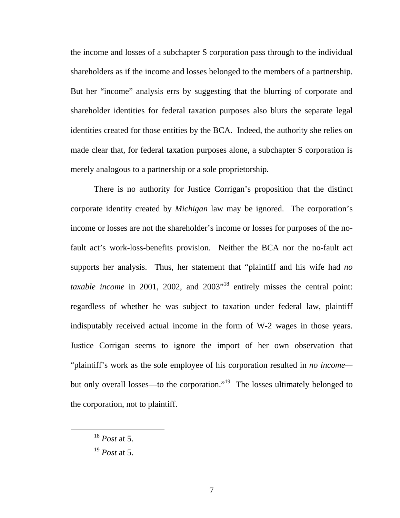shareholders as if the income and losses belonged to the members of a partnership. But her "income" analysis errs by suggesting that the blurring of corporate and the income and losses of a subchapter S corporation pass through to the individual shareholder identities for federal taxation purposes also blurs the separate legal identities created for those entities by the BCA. Indeed, the authority she relies on made clear that, for federal taxation purposes alone, a subchapter S corporation is merely analogous to a partnership or a sole proprietorship.

There is no authority for Justice Corrigan's proposition that the distinct corporate identity created by *Michigan* law may be ignored. The corporation's income or losses are not the shareholder's income or losses for purposes of the nofault act's work-loss-benefits provision. Neither the BCA nor the no-fault act supports her analysis. Thus, her statement that "plaintiff and his wife had *no taxable income* in 2001, 2002, and 2003<sup>"18</sup> entirely misses the central point: regardless of whether he was subject to taxation under federal law, plaintiff indisputably received actual income in the form of W-2 wages in those years. Justice Corrigan seems to ignore the import of her own observation that "plaintiff's work as the sole employee of his corporation resulted in *no income*  but only overall losses—to the corporation."<sup>19</sup> The losses ultimately belonged to the corporation, not to plaintiff.

<sup>18</sup>*Post* at 5.

<sup>19</sup>*Post* at 5.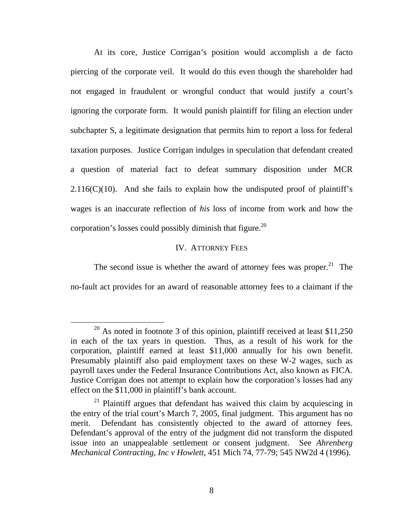At its core, Justice Corrigan's position would accomplish a de facto piercing of the corporate veil. It would do this even though the shareholder had not engaged in fraudulent or wrongful conduct that would justify a court's ignoring the corporate form. It would punish plaintiff for filing an election under subchapter S, a legitimate designation that permits him to report a loss for federal taxation purposes. Justice Corrigan indulges in speculation that defendant created a question of material fact to defeat summary disposition under MCR  $2.116(C)(10)$ . And she fails to explain how the undisputed proof of plaintiff's wages is an inaccurate reflection of *his* loss of income from work and how the corporation's losses could possibly diminish that figure.<sup>20</sup>

# IV. ATTORNEY FEES

The second issue is whether the award of attorney fees was proper.<sup>21</sup> The no-fault act provides for an award of reasonable attorney fees to a claimant if the

<sup>&</sup>lt;sup>20</sup> As noted in footnote 3 of this opinion, plaintiff received at least \$11,250 in each of the tax years in question. Thus, as a result of his work for the corporation, plaintiff earned at least \$11,000 annually for his own benefit. Presumably plaintiff also paid employment taxes on these W-2 wages, such as payroll taxes under the Federal Insurance Contributions Act, also known as FICA. Justice Corrigan does not attempt to explain how the corporation's losses had any effect on the \$11,000 in plaintiff's bank account.

 $21$  Plaintiff argues that defendant has waived this claim by acquiescing in the entry of the trial court's March 7, 2005, final judgment. This argument has no merit. Defendant has consistently objected to the award of attorney fees. Defendant's approval of the entry of the judgment did not transform the disputed issue into an unappealable settlement or consent judgment. See *Ahrenberg Mechanical Contracting, Inc v Howlett*, 451 Mich 74, 77-79; 545 NW2d 4 (1996).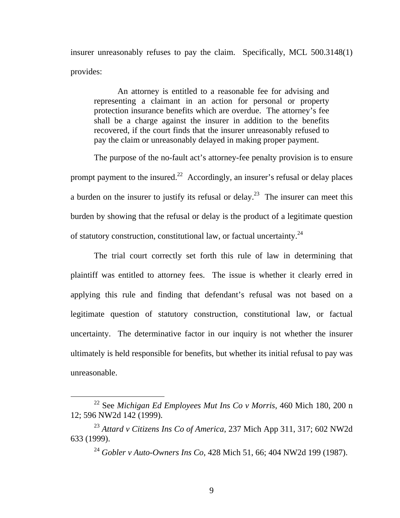insurer unreasonably refuses to pay the claim. Specifically, MCL 500.3148(1) provides:

An attorney is entitled to a reasonable fee for advising and representing a claimant in an action for personal or property protection insurance benefits which are overdue. The attorney's fee shall be a charge against the insurer in addition to the benefits recovered, if the court finds that the insurer unreasonably refused to pay the claim or unreasonably delayed in making proper payment.

prompt payment to the insured.<sup>22</sup> Accordingly, an insurer's refusal or delay places of statutory construction, constitutional law, or factual uncertainty.<sup>24</sup> The purpose of the no-fault act's attorney-fee penalty provision is to ensure a burden on the insurer to justify its refusal or delay.<sup>23</sup> The insurer can meet this burden by showing that the refusal or delay is the product of a legitimate question

The trial court correctly set forth this rule of law in determining that plaintiff was entitled to attorney fees. The issue is whether it clearly erred in applying this rule and finding that defendant's refusal was not based on a legitimate question of statutory construction, constitutional law, or factual uncertainty. The determinative factor in our inquiry is not whether the insurer ultimately is held responsible for benefits, but whether its initial refusal to pay was unreasonable.

<sup>22</sup> See *Michigan Ed Employees Mut Ins Co v Morris*, 460 Mich 180, 200 n 12; 596 NW2d 142 (1999).

<sup>633 (1999).</sup> <sup>23</sup>*Attard v Citizens Ins Co of America*, 237 Mich App 311, 317; 602 NW2d

<sup>&</sup>lt;sup>24</sup> *Gobler v Auto-Owners Ins Co*, 428 Mich 51, 66; 404 NW2d 199 (1987).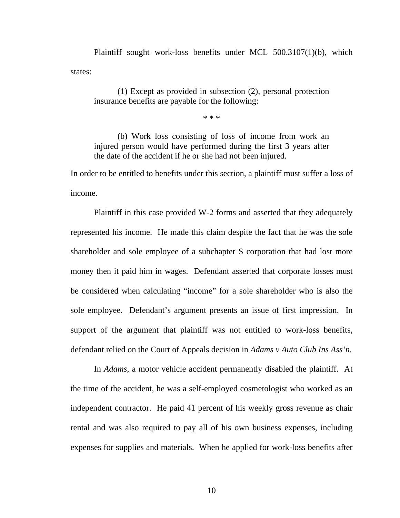Plaintiff sought work-loss benefits under MCL 500.3107(1)(b), which states:

(1) Except as provided in subsection (2), personal protection insurance benefits are payable for the following:

\* \* \*

(b) Work loss consisting of loss of income from work an injured person would have performed during the first 3 years after the date of the accident if he or she had not been injured.

In order to be entitled to benefits under this section, a plaintiff must suffer a loss of income.

Plaintiff in this case provided W-2 forms and asserted that they adequately represented his income. He made this claim despite the fact that he was the sole shareholder and sole employee of a subchapter S corporation that had lost more money then it paid him in wages. Defendant asserted that corporate losses must be considered when calculating "income" for a sole shareholder who is also the sole employee. Defendant's argument presents an issue of first impression. In support of the argument that plaintiff was not entitled to work-loss benefits, defendant relied on the Court of Appeals decision in *Adams v Auto Club Ins Ass'n.* 

In *Adams*, a motor vehicle accident permanently disabled the plaintiff. At the time of the accident, he was a self-employed cosmetologist who worked as an independent contractor. He paid 41 percent of his weekly gross revenue as chair rental and was also required to pay all of his own business expenses, including expenses for supplies and materials. When he applied for work-loss benefits after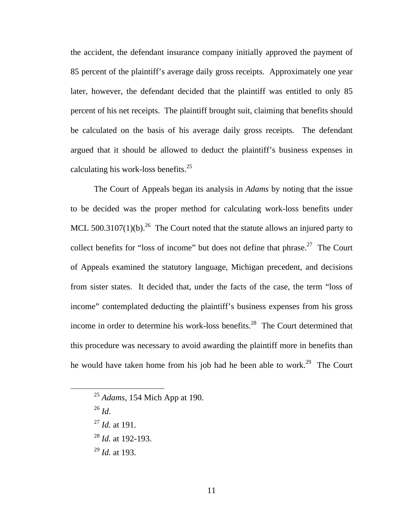calculating his work-loss benefits. $25$ the accident, the defendant insurance company initially approved the payment of 85 percent of the plaintiff's average daily gross receipts. Approximately one year later, however, the defendant decided that the plaintiff was entitled to only 85 percent of his net receipts. The plaintiff brought suit, claiming that benefits should be calculated on the basis of his average daily gross receipts. The defendant argued that it should be allowed to deduct the plaintiff's business expenses in

The Court of Appeals began its analysis in *Adams* by noting that the issue to be decided was the proper method for calculating work-loss benefits under MCL 500.3107(1)(b).<sup>26</sup> The Court noted that the statute allows an injured party to collect benefits for "loss of income" but does not define that phrase.<sup>27</sup> The Court of Appeals examined the statutory language, Michigan precedent, and decisions from sister states. It decided that, under the facts of the case, the term "loss of income" contemplated deducting the plaintiff's business expenses from his gross income in order to determine his work-loss benefits.<sup>28</sup> The Court determined that this procedure was necessary to avoid awarding the plaintiff more in benefits than he would have taken home from his job had he been able to work.<sup>29</sup> The Court

<sup>26</sup>*Id*.

 $\overline{a}$ 

<sup>27</sup>*Id.* at 191.

<sup>28</sup>*Id.* at 192-193.

<sup>29</sup>*Id.* at 193.

<sup>25</sup>*Adams*, 154 Mich App at 190.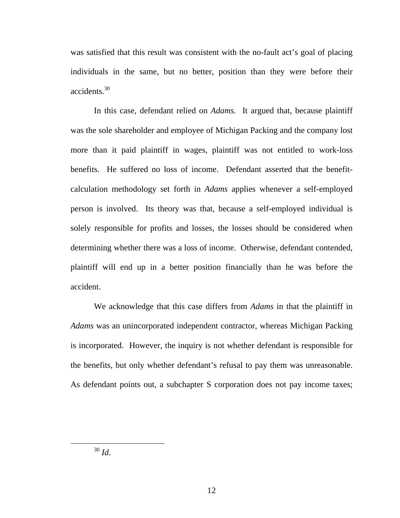accidents.<sup>30</sup> was satisfied that this result was consistent with the no-fault act's goal of placing individuals in the same, but no better, position than they were before their

In this case, defendant relied on *Adams.* It argued that, because plaintiff was the sole shareholder and employee of Michigan Packing and the company lost more than it paid plaintiff in wages, plaintiff was not entitled to work-loss benefits. He suffered no loss of income. Defendant asserted that the benefitcalculation methodology set forth in *Adams* applies whenever a self-employed person is involved. Its theory was that, because a self-employed individual is solely responsible for profits and losses, the losses should be considered when determining whether there was a loss of income. Otherwise, defendant contended, plaintiff will end up in a better position financially than he was before the accident.

We acknowledge that this case differs from *Adams* in that the plaintiff in *Adams* was an unincorporated independent contractor, whereas Michigan Packing is incorporated. However, the inquiry is not whether defendant is responsible for the benefits, but only whether defendant's refusal to pay them was unreasonable. As defendant points out, a subchapter S corporation does not pay income taxes;

<sup>30</sup>*Id*.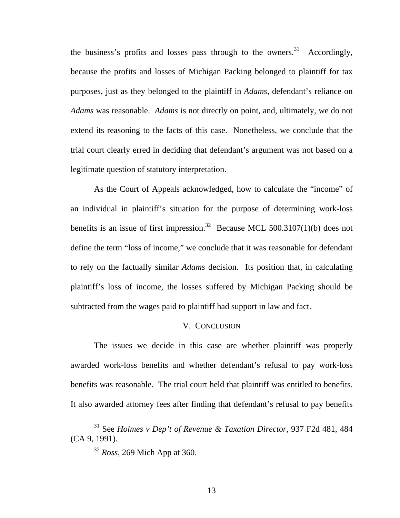the business's profits and losses pass through to the owners.<sup>31</sup> Accordingly, because the profits and losses of Michigan Packing belonged to plaintiff for tax purposes, just as they belonged to the plaintiff in *Adams*, defendant's reliance on *Adams* was reasonable. *Adams* is not directly on point, and, ultimately, we do not extend its reasoning to the facts of this case. Nonetheless, we conclude that the trial court clearly erred in deciding that defendant's argument was not based on a legitimate question of statutory interpretation.

As the Court of Appeals acknowledged, how to calculate the "income" of an individual in plaintiff's situation for the purpose of determining work-loss benefits is an issue of first impression.<sup>32</sup> Because MCL 500.3107(1)(b) does not define the term "loss of income," we conclude that it was reasonable for defendant to rely on the factually similar *Adams* decision. Its position that, in calculating plaintiff's loss of income, the losses suffered by Michigan Packing should be subtracted from the wages paid to plaintiff had support in law and fact.

#### V. CONCLUSION

The issues we decide in this case are whether plaintiff was properly awarded work-loss benefits and whether defendant's refusal to pay work-loss benefits was reasonable. The trial court held that plaintiff was entitled to benefits. It also awarded attorney fees after finding that defendant's refusal to pay benefits

<sup>31</sup> See *Holmes v Dep't of Revenue & Taxation Director*, 937 F2d 481, 484 (CA 9, 1991).

<sup>32</sup>*Ross*, 269 Mich App at 360.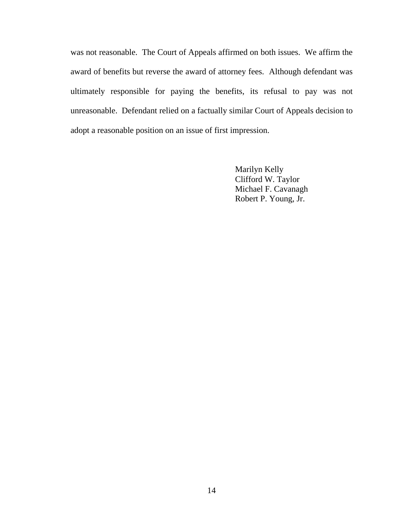was not reasonable. The Court of Appeals affirmed on both issues. We affirm the award of benefits but reverse the award of attorney fees. Although defendant was ultimately responsible for paying the benefits, its refusal to pay was not unreasonable. Defendant relied on a factually similar Court of Appeals decision to adopt a reasonable position on an issue of first impression.

> Marilyn Kelly Clifford W. Taylor Michael F. Cavanagh Robert P. Young, Jr.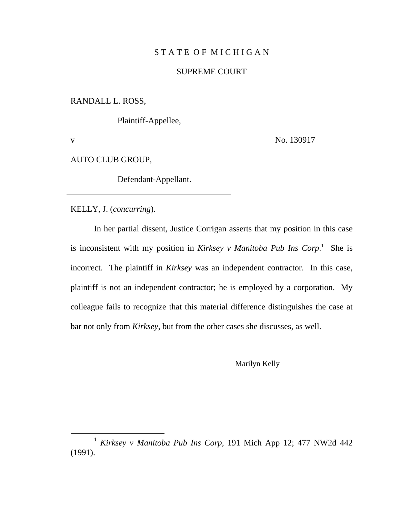# STATE OF MICHIGAN

# SUPREME COURT

RANDALL L. ROSS,

Plaintiff-Appellee,

v

No. 130917

AUTO CLUB GROUP,

Defendant-Appellant.

KELLY, J. (*concurring*).

In her partial dissent, Justice Corrigan asserts that my position in this case is inconsistent with my position in *Kirksey v Manitoba Pub Ins Corp*.<sup>1</sup> She is incorrect. The plaintiff in *Kirksey* was an independent contractor. In this case, plaintiff is not an independent contractor; he is employed by a corporation. My colleague fails to recognize that this material difference distinguishes the case at bar not only from *Kirksey*, but from the other cases she discusses, as well.

Marilyn Kelly

<sup>1</sup>*Kirksey v Manitoba Pub Ins Corp,* 191 Mich App 12; 477 NW2d 442 (1991).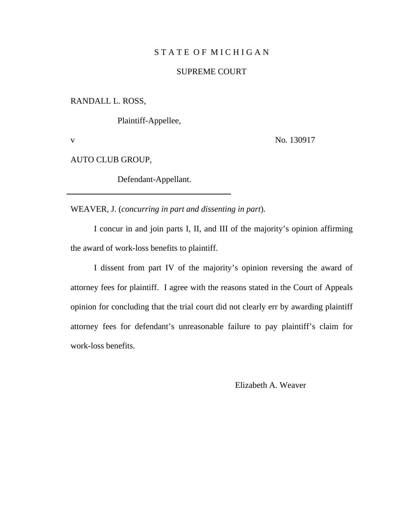# STATE OF MICHIGAN

# SUPREME COURT

RANDALL L. ROSS,

Plaintiff-Appellee,

v

No. 130917

AUTO CLUB GROUP,

Defendant-Appellant.

WEAVER, J. (*concurring in part and dissenting in part*).

I concur in and join parts I, II, and III of the majority's opinion affirming the award of work-loss benefits to plaintiff.

I dissent from part IV of the majority's opinion reversing the award of attorney fees for plaintiff. I agree with the reasons stated in the Court of Appeals opinion for concluding that the trial court did not clearly err by awarding plaintiff attorney fees for defendant's unreasonable failure to pay plaintiff's claim for work-loss benefits.

Elizabeth A. Weaver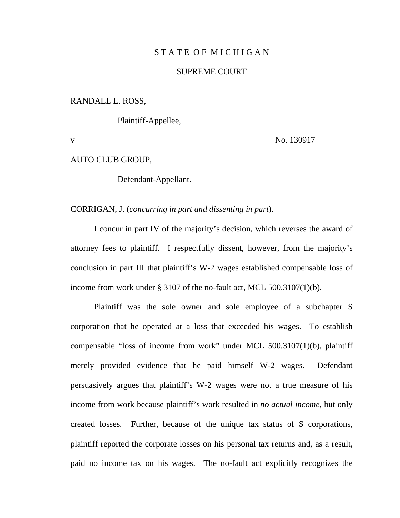# STATE OF MICHIGAN

# SUPREME COURT

RANDALL L. ROSS,

Plaintiff-Appellee,

v

No. 130917

AUTO CLUB GROUP,

Defendant-Appellant.

CORRIGAN, J. (*concurring in part and dissenting in part*).

I concur in part IV of the majority's decision, which reverses the award of attorney fees to plaintiff. I respectfully dissent, however, from the majority's conclusion in part III that plaintiff's W-2 wages established compensable loss of income from work under § 3107 of the no-fault act, MCL 500.3107(1)(b).

Plaintiff was the sole owner and sole employee of a subchapter S corporation that he operated at a loss that exceeded his wages. To establish compensable "loss of income from work" under MCL 500.3107(1)(b), plaintiff merely provided evidence that he paid himself W-2 wages. Defendant persuasively argues that plaintiff's W-2 wages were not a true measure of his income from work because plaintiff's work resulted in *no actual income*, but only created losses. Further, because of the unique tax status of S corporations, plaintiff reported the corporate losses on his personal tax returns and, as a result, paid no income tax on his wages. The no-fault act explicitly recognizes the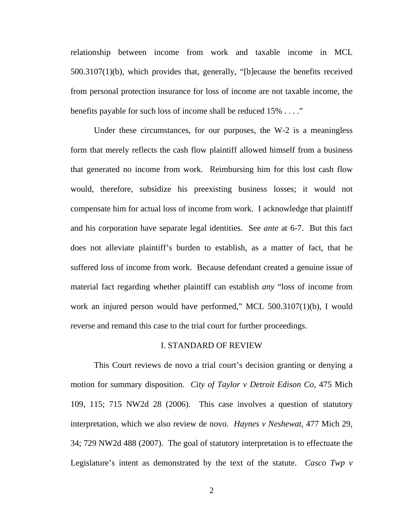relationship between income from work and taxable income in MCL 500.3107(1)(b), which provides that, generally, "[b]ecause the benefits received from personal protection insurance for loss of income are not taxable income, the benefits payable for such loss of income shall be reduced 15% . . . ."

Under these circumstances, for our purposes, the W-2 is a meaningless form that merely reflects the cash flow plaintiff allowed himself from a business that generated no income from work. Reimbursing him for this lost cash flow would, therefore, subsidize his preexisting business losses; it would not compensate him for actual loss of income from work. I acknowledge that plaintiff and his corporation have separate legal identities. See *ante* at 6-7. But this fact does not alleviate plaintiff's burden to establish, as a matter of fact, that he suffered loss of income from work. Because defendant created a genuine issue of material fact regarding whether plaintiff can establish *any* "loss of income from work an injured person would have performed," MCL 500.3107(1)(b), I would reverse and remand this case to the trial court for further proceedings.

#### I. STANDARD OF REVIEW

This Court reviews de novo a trial court's decision granting or denying a motion for summary disposition. *City of Taylor v Detroit Edison Co,* 475 Mich 109, 115; 715 NW2d 28 (2006). This case involves a question of statutory interpretation, which we also review de novo. *Haynes v Neshewat,* 477 Mich 29, 34; 729 NW2d 488 (2007). The goal of statutory interpretation is to effectuate the Legislature's intent as demonstrated by the text of the statute. *Casco Twp v*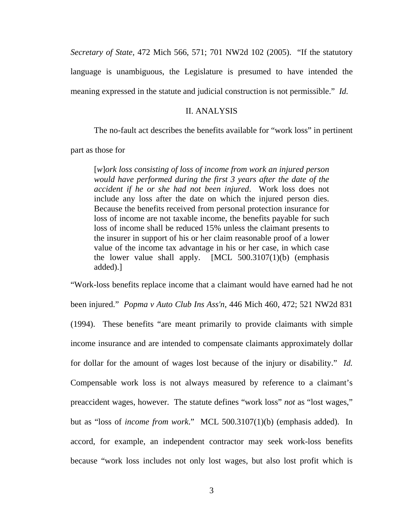*Secretary of State,* 472 Mich 566, 571; 701 NW2d 102 (2005). "If the statutory language is unambiguous, the Legislature is presumed to have intended the meaning expressed in the statute and judicial construction is not permissible." *Id.* 

## II. ANALYSIS

The no-fault act describes the benefits available for "work loss" in pertinent

part as those for

[*w*]*ork loss consisting of loss of income from work an injured person would have performed during the first 3 years after the date of the accident if he or she had not been injured*. Work loss does not include any loss after the date on which the injured person dies. Because the benefits received from personal protection insurance for loss of income are not taxable income, the benefits payable for such loss of income shall be reduced 15% unless the claimant presents to the insurer in support of his or her claim reasonable proof of a lower value of the income tax advantage in his or her case, in which case the lower value shall apply.  $[MCL 500.3107(1)(b)$  (emphasis added).]

"Work-loss benefits replace income that a claimant would have earned had he not

been injured." *Popma v Auto Club Ins Ass'n*, 446 Mich 460, 472; 521 NW2d 831 (1994). These benefits "are meant primarily to provide claimants with simple income insurance and are intended to compensate claimants approximately dollar for dollar for the amount of wages lost because of the injury or disability." *Id.*  Compensable work loss is not always measured by reference to a claimant's preaccident wages, however. The statute defines "work loss" *not* as "lost wages," but as "loss of *income from work*." MCL 500.3107(1)(b) (emphasis added). In accord, for example, an independent contractor may seek work-loss benefits because "work loss includes not only lost wages, but also lost profit which is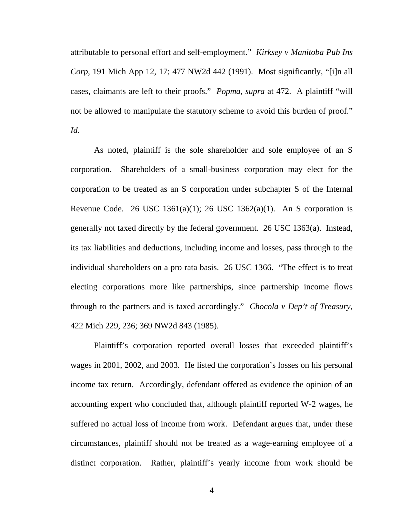cases, claimants are left to their proofs." *Popma, supra* at 472. A plaintiff "will attributable to personal effort and self-employment." *Kirksey v Manitoba Pub Ins Corp*, 191 Mich App 12, 17; 477 NW2d 442 (1991). Most significantly, "[i]n all not be allowed to manipulate the statutory scheme to avoid this burden of proof." *Id.* 

As noted, plaintiff is the sole shareholder and sole employee of an S corporation. Shareholders of a small-business corporation may elect for the corporation to be treated as an S corporation under subchapter S of the Internal Revenue Code. 26 USC 1361(a)(1); 26 USC 1362(a)(1). An S corporation is generally not taxed directly by the federal government. 26 USC 1363(a). Instead, its tax liabilities and deductions, including income and losses, pass through to the individual shareholders on a pro rata basis. 26 USC 1366. "The effect is to treat electing corporations more like partnerships, since partnership income flows through to the partners and is taxed accordingly." *Chocola v Dep't of Treasury,*  422 Mich 229, 236; 369 NW2d 843 (1985).

Plaintiff's corporation reported overall losses that exceeded plaintiff's wages in 2001, 2002, and 2003. He listed the corporation's losses on his personal income tax return. Accordingly, defendant offered as evidence the opinion of an accounting expert who concluded that, although plaintiff reported W-2 wages, he suffered no actual loss of income from work. Defendant argues that, under these circumstances, plaintiff should not be treated as a wage-earning employee of a distinct corporation. Rather, plaintiff's yearly income from work should be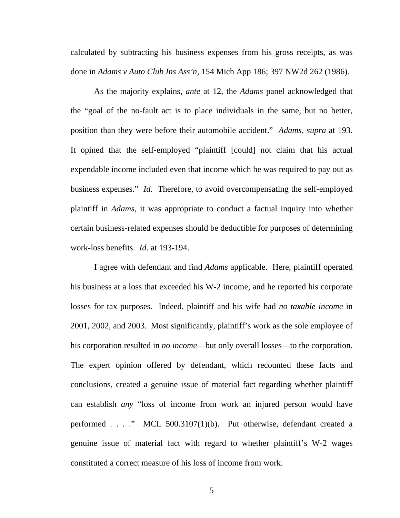calculated by subtracting his business expenses from his gross receipts, as was done in *Adams v Auto Club Ins Ass'n,* 154 Mich App 186; 397 NW2d 262 (1986)*.* 

As the majority explains, *ante* at 12, the *Adams* panel acknowledged that the "goal of the no-fault act is to place individuals in the same, but no better, position than they were before their automobile accident." *Adams, supra* at 193. It opined that the self-employed "plaintiff [could] not claim that his actual expendable income included even that income which he was required to pay out as business expenses." *Id.* Therefore, to avoid overcompensating the self-employed plaintiff in *Adams*, it was appropriate to conduct a factual inquiry into whether certain business-related expenses should be deductible for purposes of determining work-loss benefits. *Id.* at 193-194.

I agree with defendant and find *Adams* applicable. Here, plaintiff operated his business at a loss that exceeded his W-2 income, and he reported his corporate losses for tax purposes. Indeed, plaintiff and his wife had *no taxable income* in 2001, 2002, and 2003. Most significantly, plaintiff's work as the sole employee of his corporation resulted in *no income*—but only overall losses—to the corporation. The expert opinion offered by defendant, which recounted these facts and conclusions, created a genuine issue of material fact regarding whether plaintiff can establish *any* "loss of income from work an injured person would have performed . . . ." MCL 500.3107(1)(b). Put otherwise, defendant created a genuine issue of material fact with regard to whether plaintiff's W-2 wages constituted a correct measure of his loss of income from work.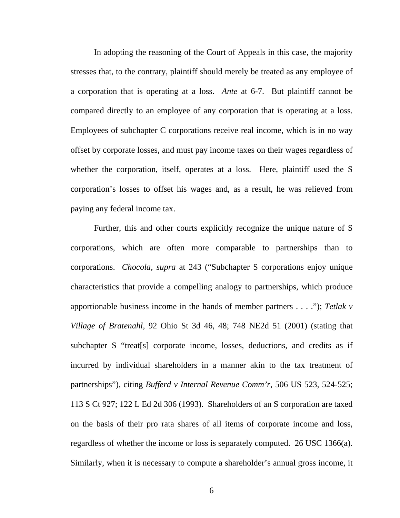In adopting the reasoning of the Court of Appeals in this case, the majority stresses that, to the contrary, plaintiff should merely be treated as any employee of a corporation that is operating at a loss. *Ante* at 6-7. But plaintiff cannot be compared directly to an employee of any corporation that is operating at a loss. Employees of subchapter C corporations receive real income, which is in no way offset by corporate losses, and must pay income taxes on their wages regardless of whether the corporation, itself, operates at a loss. Here, plaintiff used the S corporation's losses to offset his wages and, as a result, he was relieved from paying any federal income tax.

Further, this and other courts explicitly recognize the unique nature of S corporations, which are often more comparable to partnerships than to corporations. *Chocola, supra* at 243 ("Subchapter S corporations enjoy unique characteristics that provide a compelling analogy to partnerships, which produce apportionable business income in the hands of member partners . . . ."); *Tetlak v Village of Bratenahl,* 92 Ohio St 3d 46, 48; 748 NE2d 51 (2001) (stating that subchapter S "treat[s] corporate income, losses, deductions, and credits as if incurred by individual shareholders in a manner akin to the tax treatment of partnerships"), citing *Bufferd v Internal Revenue Comm'r*, 506 US 523, 524-525; 113 S Ct 927; 122 L Ed 2d 306 (1993). Shareholders of an S corporation are taxed on the basis of their pro rata shares of all items of corporate income and loss, regardless of whether the income or loss is separately computed. 26 USC 1366(a). Similarly, when it is necessary to compute a shareholder's annual gross income, it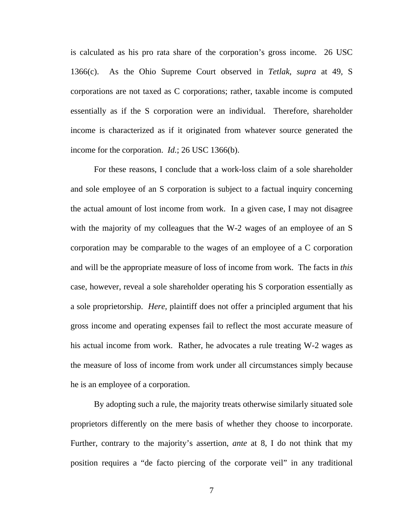essentially as if the S corporation were an individual. Therefore, shareholder is calculated as his pro rata share of the corporation's gross income. 26 USC 1366(c). As the Ohio Supreme Court observed in *Tetlak, supra* at 49*,* S corporations are not taxed as C corporations; rather, taxable income is computed income is characterized as if it originated from whatever source generated the income for the corporation. *Id.*; 26 USC 1366(b).

For these reasons, I conclude that a work-loss claim of a sole shareholder and sole employee of an S corporation is subject to a factual inquiry concerning the actual amount of lost income from work. In a given case, I may not disagree with the majority of my colleagues that the W-2 wages of an employee of an S corporation may be comparable to the wages of an employee of a C corporation and will be the appropriate measure of loss of income from work. The facts in *this*  case, however, reveal a sole shareholder operating his S corporation essentially as a sole proprietorship. *Here,* plaintiff does not offer a principled argument that his gross income and operating expenses fail to reflect the most accurate measure of his actual income from work. Rather, he advocates a rule treating W-2 wages as the measure of loss of income from work under all circumstances simply because he is an employee of a corporation.

By adopting such a rule, the majority treats otherwise similarly situated sole proprietors differently on the mere basis of whether they choose to incorporate. Further, contrary to the majority's assertion, *ante* at 8, I do not think that my position requires a "de facto piercing of the corporate veil" in any traditional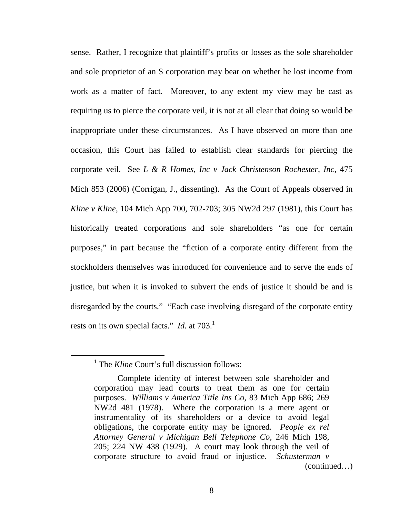sense. Rather, I recognize that plaintiff's profits or losses as the sole shareholder and sole proprietor of an S corporation may bear on whether he lost income from work as a matter of fact. Moreover, to any extent my view may be cast as requiring us to pierce the corporate veil, it is not at all clear that doing so would be inappropriate under these circumstances. As I have observed on more than one occasion, this Court has failed to establish clear standards for piercing the corporate veil. See *L & R Homes, Inc v Jack Christenson Rochester, Inc,* 475 Mich 853 (2006) (Corrigan, J., dissenting). As the Court of Appeals observed in *Kline v Kline*, 104 Mich App 700, 702-703; 305 NW2d 297 (1981), this Court has historically treated corporations and sole shareholders "as one for certain purposes," in part because the "fiction of a corporate entity different from the stockholders themselves was introduced for convenience and to serve the ends of justice, but when it is invoked to subvert the ends of justice it should be and is disregarded by the courts." "Each case involving disregard of the corporate entity rests on its own special facts." *Id.* at 703.<sup>1</sup>

<sup>&</sup>lt;sup>1</sup> The *Kline* Court's full discussion follows:

Complete identity of interest between sole shareholder and corporation may lead courts to treat them as one for certain purposes. *Williams v America Title Ins Co*, 83 Mich App 686; 269 NW2d 481 (1978). Where the corporation is a mere agent or instrumentality of its shareholders or a device to avoid legal obligations, the corporate entity may be ignored. *People ex rel Attorney General v Michigan Bell Telephone Co*, 246 Mich 198, 205; 224 NW 438 (1929). A court may look through the veil of corporate structure to avoid fraud or injustice. *Schusterman v*  (continued…)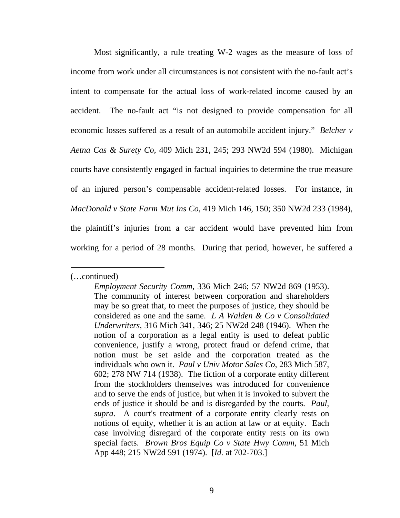Most significantly, a rule treating W-2 wages as the measure of loss of income from work under all circumstances is not consistent with the no-fault act's intent to compensate for the actual loss of work-related income caused by an accident. The no-fault act "is not designed to provide compensation for all economic losses suffered as a result of an automobile accident injury." *Belcher v Aetna Cas & Surety Co,* 409 Mich 231, 245; 293 NW2d 594 (1980). Michigan courts have consistently engaged in factual inquiries to determine the true measure of an injured person's compensable accident-related losses. For instance, in *MacDonald v State Farm Mut Ins Co*, 419 Mich 146, 150; 350 NW2d 233 (1984), the plaintiff's injuries from a car accident would have prevented him from working for a period of 28 months. During that period, however, he suffered a

<sup>(…</sup>continued)

*Employment Security Comm*, 336 Mich 246; 57 NW2d 869 (1953). The community of interest between corporation and shareholders may be so great that, to meet the purposes of justice, they should be considered as one and the same. *L A Walden & Co v Consolidated Underwriters*, 316 Mich 341, 346; 25 NW2d 248 (1946). When the notion of a corporation as a legal entity is used to defeat public convenience, justify a wrong, protect fraud or defend crime, that notion must be set aside and the corporation treated as the individuals who own it. *Paul v Univ Motor Sales Co*, 283 Mich 587, 602; 278 NW 714 (1938). The fiction of a corporate entity different from the stockholders themselves was introduced for convenience and to serve the ends of justice, but when it is invoked to subvert the ends of justice it should be and is disregarded by the courts. *Paul, supra*. A court's treatment of a corporate entity clearly rests on notions of equity, whether it is an action at law or at equity. Each case involving disregard of the corporate entity rests on its own special facts. *Brown Bros Equip Co v State Hwy Comm*, 51 Mich App 448; 215 NW2d 591 (1974). [*Id.* at 702-703.]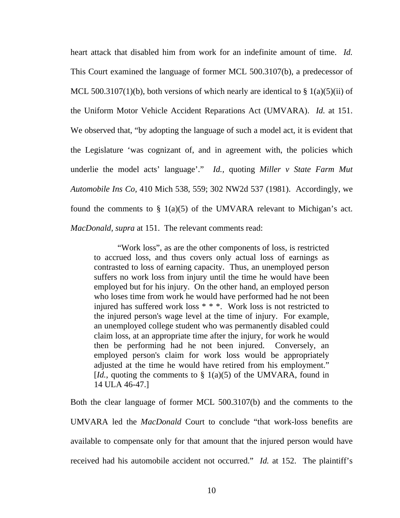heart attack that disabled him from work for an indefinite amount of time. *Id.*  This Court examined the language of former MCL 500.3107(b), a predecessor of MCL 500.3107(1)(b), both versions of which nearly are identical to  $\S$  1(a)(5)(ii) of the Uniform Motor Vehicle Accident Reparations Act (UMVARA). *Id.* at 151. We observed that, "by adopting the language of such a model act, it is evident that the Legislature 'was cognizant of, and in agreement with, the policies which underlie the model acts' language'." *Id.,* quoting *Miller v State Farm Mut Automobile Ins Co,* 410 Mich 538, 559; 302 NW2d 537 (1981). Accordingly, we found the comments to  $\S$  1(a)(5) of the UMVARA relevant to Michigan's act. *MacDonald, supra* at 151. The relevant comments read:

"Work loss", as are the other components of loss, is restricted to accrued loss, and thus covers only actual loss of earnings as contrasted to loss of earning capacity. Thus, an unemployed person suffers no work loss from injury until the time he would have been employed but for his injury. On the other hand, an employed person who loses time from work he would have performed had he not been injured has suffered work loss \* \* \*. Work loss is not restricted to the injured person's wage level at the time of injury. For example, an unemployed college student who was permanently disabled could claim loss, at an appropriate time after the injury, for work he would then be performing had he not been injured. Conversely, an employed person's claim for work loss would be appropriately adjusted at the time he would have retired from his employment." [*Id.*, quoting the comments to  $\S$  1(a)(5) of the UMVARA, found in 14 ULA 46-47.]

Both the clear language of former MCL 500.3107(b) and the comments to the UMVARA led the *MacDonald* Court to conclude "that work-loss benefits are available to compensate only for that amount that the injured person would have received had his automobile accident not occurred." *Id.* at 152. The plaintiff's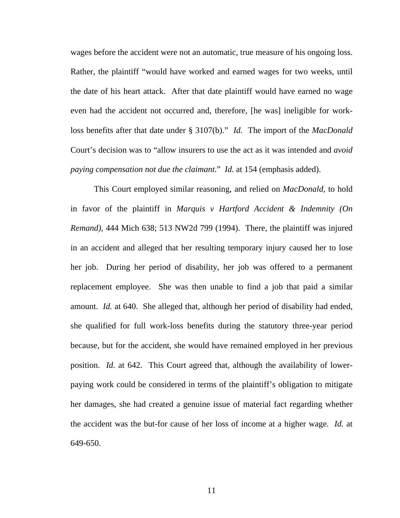loss benefits after that date under § 3107(b)." *Id.* The import of the *MacDonald*  wages before the accident were not an automatic, true measure of his ongoing loss. Rather, the plaintiff "would have worked and earned wages for two weeks, until the date of his heart attack. After that date plaintiff would have earned no wage even had the accident not occurred and, therefore, [he was] ineligible for work-Court's decision was to "allow insurers to use the act as it was intended and *avoid paying compensation not due the claimant*." *Id.* at 154 (emphasis added).

amount. *Id.* at 640. She alleged that, although her period of disability had ended, This Court employed similar reasoning, and relied on *MacDonald,* to hold in favor of the plaintiff in *Marquis v Hartford Accident & Indemnity (On Remand)*, 444 Mich 638; 513 NW2d 799 (1994). There, the plaintiff was injured in an accident and alleged that her resulting temporary injury caused her to lose her job. During her period of disability, her job was offered to a permanent replacement employee. She was then unable to find a job that paid a similar she qualified for full work-loss benefits during the statutory three-year period because, but for the accident, she would have remained employed in her previous position. *Id.* at 642. This Court agreed that, although the availability of lowerpaying work could be considered in terms of the plaintiff's obligation to mitigate her damages, she had created a genuine issue of material fact regarding whether the accident was the but-for cause of her loss of income at a higher wage. *Id.* at 649-650.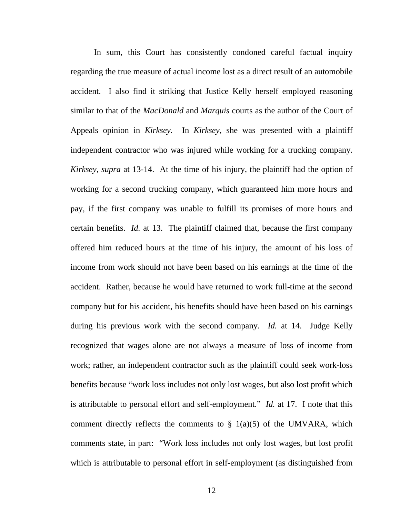In sum, this Court has consistently condoned careful factual inquiry regarding the true measure of actual income lost as a direct result of an automobile accident. I also find it striking that Justice Kelly herself employed reasoning similar to that of the *MacDonald* and *Marquis* courts as the author of the Court of Appeals opinion in *Kirksey.* In *Kirksey,* she was presented with a plaintiff independent contractor who was injured while working for a trucking company. *Kirksey, supra* at 13-14. At the time of his injury, the plaintiff had the option of working for a second trucking company, which guaranteed him more hours and pay, if the first company was unable to fulfill its promises of more hours and certain benefits. *Id.* at 13. The plaintiff claimed that, because the first company offered him reduced hours at the time of his injury, the amount of his loss of income from work should not have been based on his earnings at the time of the accident. Rather, because he would have returned to work full-time at the second company but for his accident, his benefits should have been based on his earnings during his previous work with the second company. *Id.* at 14. Judge Kelly recognized that wages alone are not always a measure of loss of income from work; rather, an independent contractor such as the plaintiff could seek work-loss benefits because "work loss includes not only lost wages, but also lost profit which is attributable to personal effort and self-employment." *Id.* at 17. I note that this comment directly reflects the comments to  $\S$  1(a)(5) of the UMVARA, which comments state, in part: "Work loss includes not only lost wages, but lost profit which is attributable to personal effort in self-employment (as distinguished from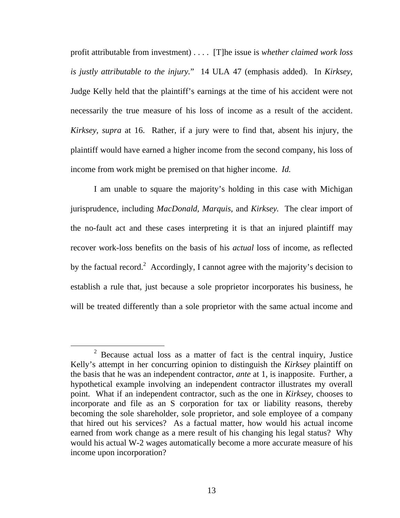profit attributable from investment) . . . . [T]he issue is *whether claimed work loss is justly attributable to the injury.*" 14 ULA 47 (emphasis added). In *Kirksey*, Judge Kelly held that the plaintiff's earnings at the time of his accident were not necessarily the true measure of his loss of income as a result of the accident. *Kirksey, supra* at 16. Rather, if a jury were to find that, absent his injury, the plaintiff would have earned a higher income from the second company, his loss of income from work might be premised on that higher income. *Id.* 

I am unable to square the majority's holding in this case with Michigan jurisprudence, including *MacDonald, Marquis,* and *Kirksey.* The clear import of the no-fault act and these cases interpreting it is that an injured plaintiff may recover work-loss benefits on the basis of his *actual* loss of income, as reflected by the factual record.<sup>2</sup> Accordingly, I cannot agree with the majority's decision to establish a rule that, just because a sole proprietor incorporates his business, he will be treated differently than a sole proprietor with the same actual income and

 $2^2$  Because actual loss as a matter of fact is the central inquiry, Justice Kelly's attempt in her concurring opinion to distinguish the *Kirksey* plaintiff on the basis that he was an independent contractor, *ante* at 1, is inapposite. Further, a hypothetical example involving an independent contractor illustrates my overall point. What if an independent contractor, such as the one in *Kirksey,* chooses to incorporate and file as an S corporation for tax or liability reasons, thereby becoming the sole shareholder, sole proprietor, and sole employee of a company that hired out his services? As a factual matter, how would his actual income earned from work change as a mere result of his changing his legal status? Why would his actual W-2 wages automatically become a more accurate measure of his income upon incorporation?